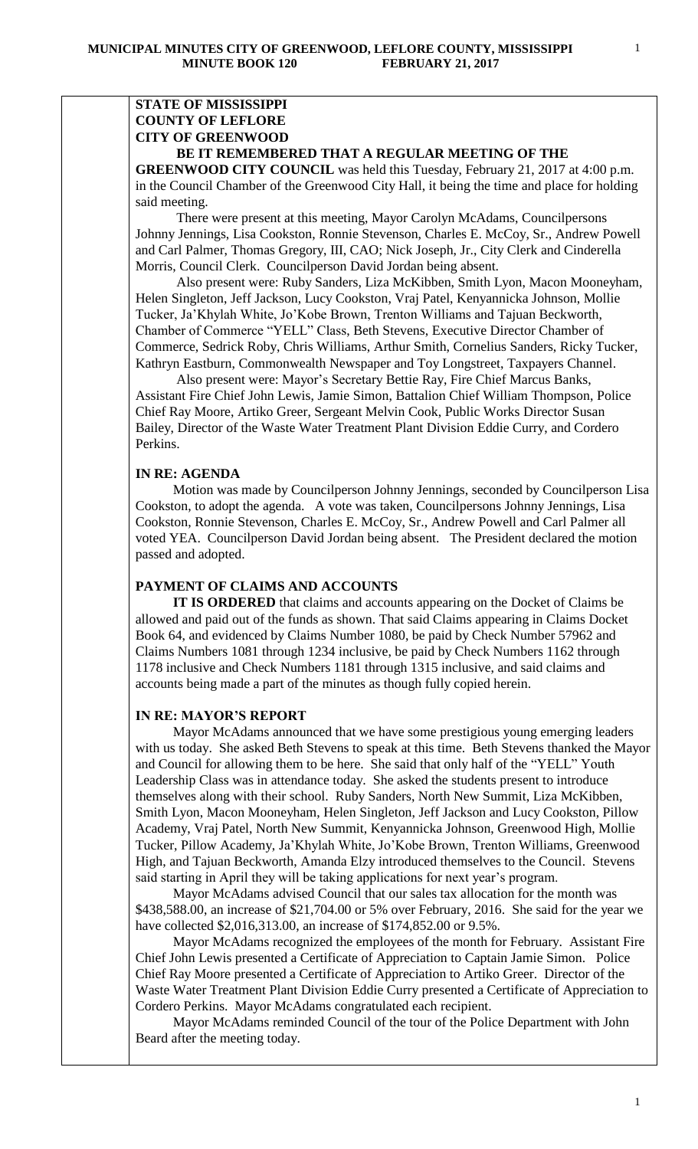# **STATE OF MISSISSIPPI COUNTY OF LEFLORE CITY OF GREENWOOD**

# **BE IT REMEMBERED THAT A REGULAR MEETING OF THE**

**GREENWOOD CITY COUNCIL** was held this Tuesday, February 21, 2017 at 4:00 p.m. in the Council Chamber of the Greenwood City Hall, it being the time and place for holding said meeting.

There were present at this meeting, Mayor Carolyn McAdams, Councilpersons Johnny Jennings, Lisa Cookston, Ronnie Stevenson, Charles E. McCoy, Sr., Andrew Powell and Carl Palmer, Thomas Gregory, III, CAO; Nick Joseph, Jr., City Clerk and Cinderella Morris, Council Clerk. Councilperson David Jordan being absent.

 Also present were: Ruby Sanders, Liza McKibben, Smith Lyon, Macon Mooneyham, Helen Singleton, Jeff Jackson, Lucy Cookston, Vraj Patel, Kenyannicka Johnson, Mollie Tucker, Ja'Khylah White, Jo'Kobe Brown, Trenton Williams and Tajuan Beckworth, Chamber of Commerce "YELL" Class, Beth Stevens, Executive Director Chamber of Commerce, Sedrick Roby, Chris Williams, Arthur Smith, Cornelius Sanders, Ricky Tucker, Kathryn Eastburn, Commonwealth Newspaper and Toy Longstreet, Taxpayers Channel.

 Also present were: Mayor's Secretary Bettie Ray, Fire Chief Marcus Banks, Assistant Fire Chief John Lewis, Jamie Simon, Battalion Chief William Thompson, Police Chief Ray Moore, Artiko Greer, Sergeant Melvin Cook, Public Works Director Susan Bailey, Director of the Waste Water Treatment Plant Division Eddie Curry, and Cordero Perkins.

## **IN RE: AGENDA**

 Motion was made by Councilperson Johnny Jennings, seconded by Councilperson Lisa Cookston, to adopt the agenda. A vote was taken, Councilpersons Johnny Jennings, Lisa Cookston, Ronnie Stevenson, Charles E. McCoy, Sr., Andrew Powell and Carl Palmer all voted YEA. Councilperson David Jordan being absent. The President declared the motion passed and adopted.

# **PAYMENT OF CLAIMS AND ACCOUNTS**

 **IT IS ORDERED** that claims and accounts appearing on the Docket of Claims be allowed and paid out of the funds as shown. That said Claims appearing in Claims Docket Book 64, and evidenced by Claims Number 1080, be paid by Check Number 57962 and Claims Numbers 1081 through 1234 inclusive, be paid by Check Numbers 1162 through 1178 inclusive and Check Numbers 1181 through 1315 inclusive, and said claims and accounts being made a part of the minutes as though fully copied herein.

### **IN RE: MAYOR'S REPORT**

 Mayor McAdams announced that we have some prestigious young emerging leaders with us today. She asked Beth Stevens to speak at this time. Beth Stevens thanked the Mayor and Council for allowing them to be here. She said that only half of the "YELL" Youth Leadership Class was in attendance today. She asked the students present to introduce themselves along with their school. Ruby Sanders, North New Summit, Liza McKibben, Smith Lyon, Macon Mooneyham, Helen Singleton, Jeff Jackson and Lucy Cookston, Pillow Academy, Vraj Patel, North New Summit, Kenyannicka Johnson, Greenwood High, Mollie Tucker, Pillow Academy, Ja'Khylah White, Jo'Kobe Brown, Trenton Williams, Greenwood High, and Tajuan Beckworth, Amanda Elzy introduced themselves to the Council. Stevens said starting in April they will be taking applications for next year's program.

 Mayor McAdams advised Council that our sales tax allocation for the month was \$438,588.00, an increase of \$21,704.00 or 5% over February, 2016. She said for the year we have collected \$2,016,313.00, an increase of \$174,852.00 or 9.5%.

 Mayor McAdams recognized the employees of the month for February. Assistant Fire Chief John Lewis presented a Certificate of Appreciation to Captain Jamie Simon. Police Chief Ray Moore presented a Certificate of Appreciation to Artiko Greer. Director of the Waste Water Treatment Plant Division Eddie Curry presented a Certificate of Appreciation to Cordero Perkins. Mayor McAdams congratulated each recipient.

 Mayor McAdams reminded Council of the tour of the Police Department with John Beard after the meeting today.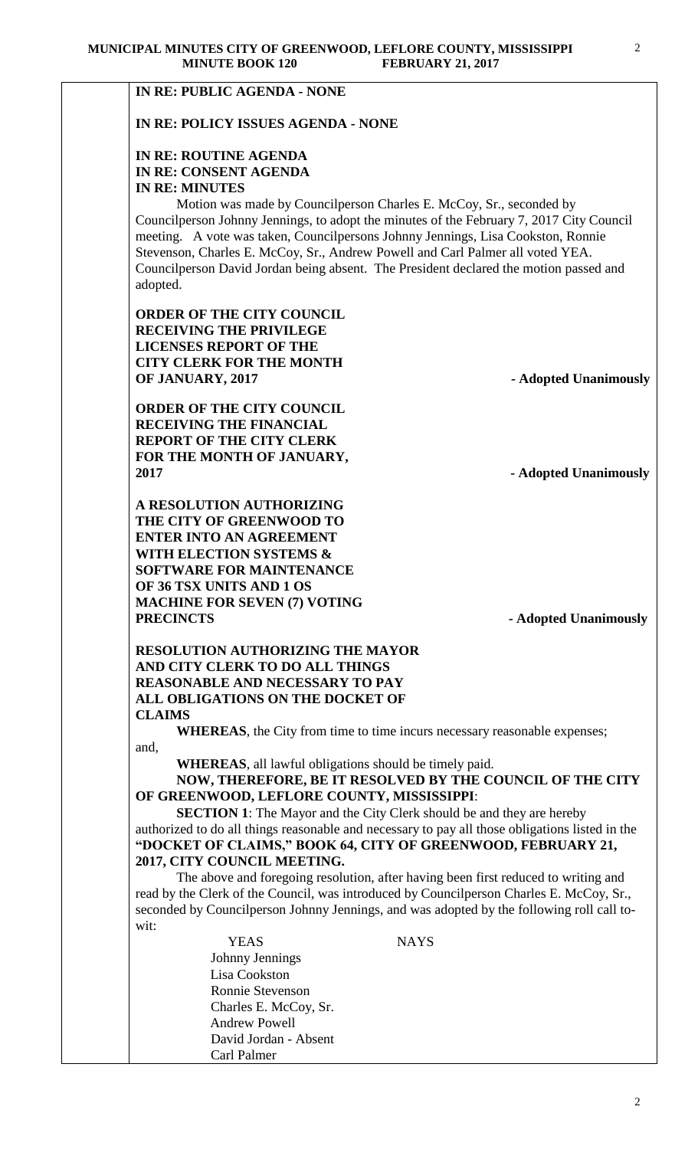| <b>MINUTE BOOK 120</b>                                         | <b>FEBRUARY 21, 2017</b>                                                                                                                                        |
|----------------------------------------------------------------|-----------------------------------------------------------------------------------------------------------------------------------------------------------------|
| <b>IN RE: PUBLIC AGENDA - NONE</b>                             |                                                                                                                                                                 |
| IN RE: POLICY ISSUES AGENDA - NONE                             |                                                                                                                                                                 |
|                                                                |                                                                                                                                                                 |
| <b>IN RE: ROUTINE AGENDA</b>                                   |                                                                                                                                                                 |
| IN RE: CONSENT AGENDA<br><b>IN RE: MINUTES</b>                 |                                                                                                                                                                 |
|                                                                | Motion was made by Councilperson Charles E. McCoy, Sr., seconded by                                                                                             |
|                                                                | Councilperson Johnny Jennings, to adopt the minutes of the February 7, 2017 City Council                                                                        |
|                                                                | meeting. A vote was taken, Councilpersons Johnny Jennings, Lisa Cookston, Ronnie                                                                                |
|                                                                | Stevenson, Charles E. McCoy, Sr., Andrew Powell and Carl Palmer all voted YEA.                                                                                  |
|                                                                | Councilperson David Jordan being absent. The President declared the motion passed and                                                                           |
| adopted.                                                       |                                                                                                                                                                 |
| <b>ORDER OF THE CITY COUNCIL</b>                               |                                                                                                                                                                 |
| <b>RECEIVING THE PRIVILEGE</b>                                 |                                                                                                                                                                 |
| <b>LICENSES REPORT OF THE</b>                                  |                                                                                                                                                                 |
| <b>CITY CLERK FOR THE MONTH</b>                                |                                                                                                                                                                 |
| OF JANUARY, 2017                                               | - Adopted Unanimously                                                                                                                                           |
| <b>ORDER OF THE CITY COUNCIL</b>                               |                                                                                                                                                                 |
| <b>RECEIVING THE FINANCIAL</b>                                 |                                                                                                                                                                 |
| <b>REPORT OF THE CITY CLERK</b>                                |                                                                                                                                                                 |
| FOR THE MONTH OF JANUARY,<br>2017                              | - Adopted Unanimously                                                                                                                                           |
|                                                                |                                                                                                                                                                 |
| A RESOLUTION AUTHORIZING                                       |                                                                                                                                                                 |
| THE CITY OF GREENWOOD TO                                       |                                                                                                                                                                 |
| <b>ENTER INTO AN AGREEMENT</b><br>WITH ELECTION SYSTEMS &      |                                                                                                                                                                 |
| <b>SOFTWARE FOR MAINTENANCE</b>                                |                                                                                                                                                                 |
| OF 36 TSX UNITS AND 1 OS                                       |                                                                                                                                                                 |
| <b>MACHINE FOR SEVEN (7) VOTING</b>                            |                                                                                                                                                                 |
| <b>PRECINCTS</b>                                               | - Adopted Unanimously                                                                                                                                           |
| <b>RESOLUTION AUTHORIZING THE MAYOR</b>                        |                                                                                                                                                                 |
| AND CITY CLERK TO DO ALL THINGS                                |                                                                                                                                                                 |
| <b>REASONABLE AND NECESSARY TO PAY</b>                         |                                                                                                                                                                 |
| ALL OBLIGATIONS ON THE DOCKET OF                               |                                                                                                                                                                 |
| <b>CLAIMS</b>                                                  |                                                                                                                                                                 |
| and,                                                           | <b>WHEREAS</b> , the City from time to time incurs necessary reasonable expenses;                                                                               |
| <b>WHEREAS</b> , all lawful obligations should be timely paid. |                                                                                                                                                                 |
|                                                                | NOW, THEREFORE, BE IT RESOLVED BY THE COUNCIL OF THE CITY                                                                                                       |
| OF GREENWOOD, LEFLORE COUNTY, MISSISSIPPI:                     |                                                                                                                                                                 |
|                                                                | <b>SECTION 1:</b> The Mayor and the City Clerk should be and they are hereby                                                                                    |
|                                                                | authorized to do all things reasonable and necessary to pay all those obligations listed in the<br>"DOCKET OF CLAIMS," BOOK 64, CITY OF GREENWOOD, FEBRUARY 21, |
| 2017, CITY COUNCIL MEETING.                                    |                                                                                                                                                                 |
|                                                                | The above and foregoing resolution, after having been first reduced to writing and                                                                              |
|                                                                | read by the Clerk of the Council, was introduced by Councilperson Charles E. McCoy, Sr.,                                                                        |
|                                                                | seconded by Councilperson Johnny Jennings, and was adopted by the following roll call to-                                                                       |
| wit:<br><b>YEAS</b>                                            | <b>NAYS</b>                                                                                                                                                     |
| Johnny Jennings                                                |                                                                                                                                                                 |
| Lisa Cookston                                                  |                                                                                                                                                                 |
| Ronnie Stevenson                                               |                                                                                                                                                                 |
| Charles E. McCoy, Sr.                                          |                                                                                                                                                                 |
| <b>Andrew Powell</b>                                           |                                                                                                                                                                 |
| David Jordan - Absent                                          |                                                                                                                                                                 |

Carl Palmer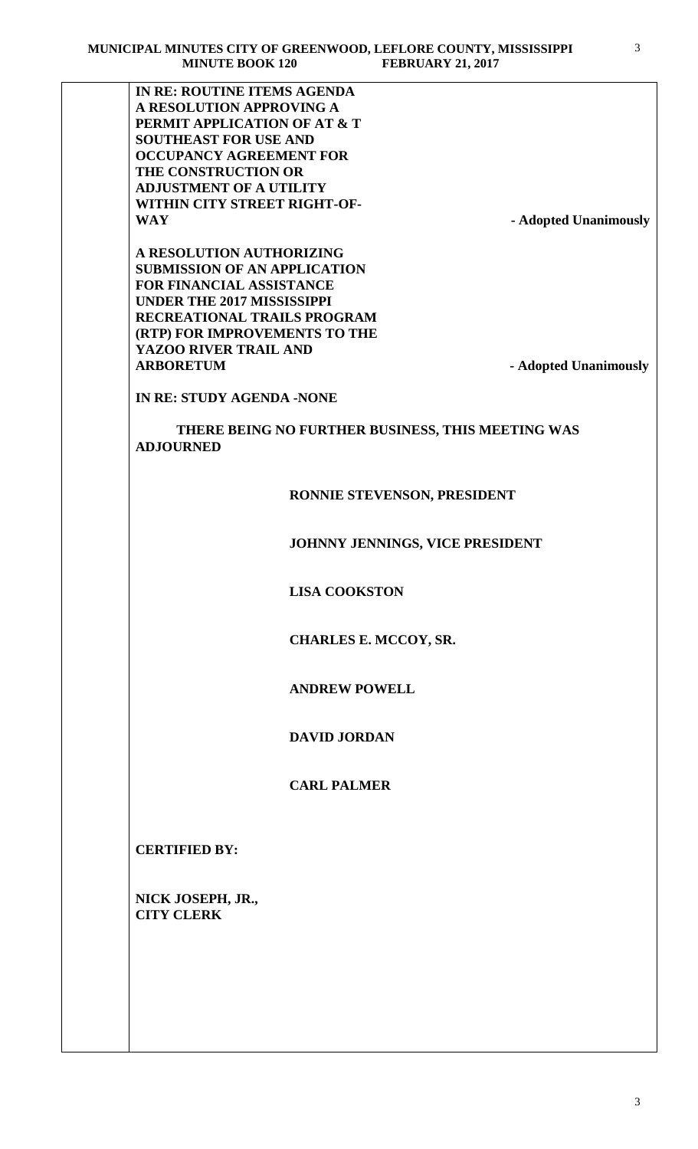**IN RE: ROUTINE ITEMS AGENDA A RESOLUTION APPROVING A PERMIT APPLICATION OF AT & T SOUTHEAST FOR USE AND OCCUPANCY AGREEMENT FOR THE CONSTRUCTION OR ADJUSTMENT OF A UTILITY WITHIN CITY STREET RIGHT-OF-**

**WAY - Adopted Unanimously**

**A RESOLUTION AUTHORIZING SUBMISSION OF AN APPLICATION FOR FINANCIAL ASSISTANCE UNDER THE 2017 MISSISSIPPI RECREATIONAL TRAILS PROGRAM (RTP) FOR IMPROVEMENTS TO THE YAZOO RIVER TRAIL AND ARBORETUM - Adopted Unanimously**

**IN RE: STUDY AGENDA -NONE**

 **THERE BEING NO FURTHER BUSINESS, THIS MEETING WAS ADJOURNED** 

# **RONNIE STEVENSON, PRESIDENT**

 **JOHNNY JENNINGS, VICE PRESIDENT**

 **LISA COOKSTON**

 **CHARLES E. MCCOY, SR.** 

 **ANDREW POWELL**

 **DAVID JORDAN**

 **CARL PALMER**

**CERTIFIED BY:**

**NICK JOSEPH, JR., CITY CLERK**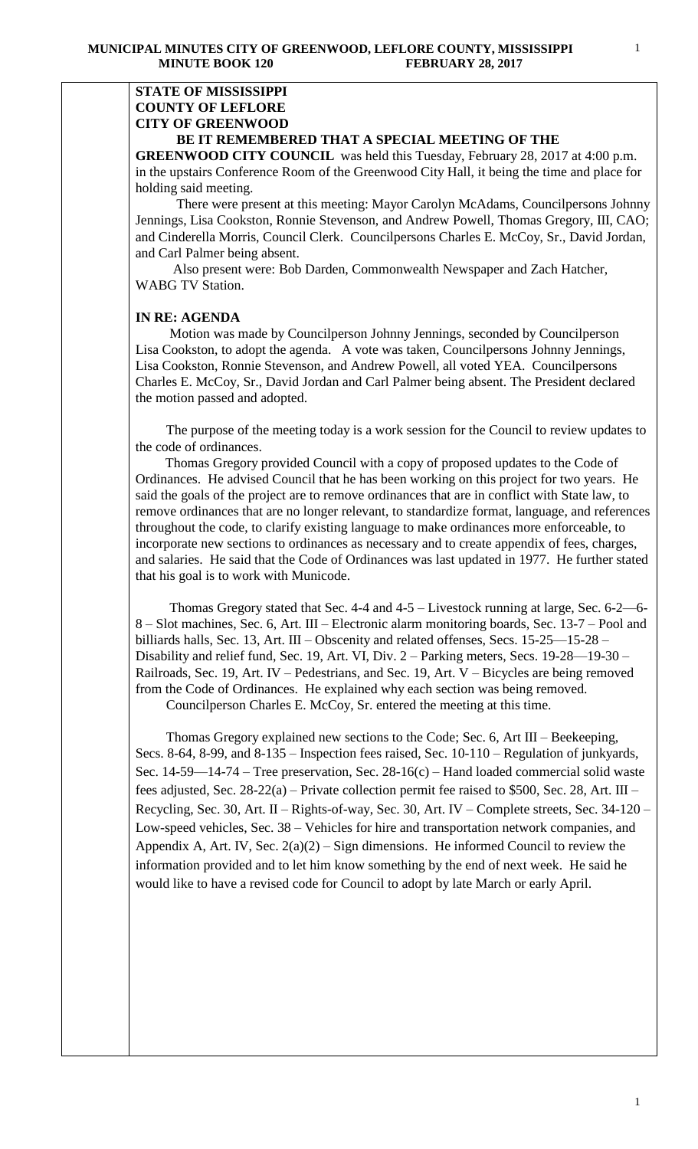## **STATE OF MISSISSIPPI COUNTY OF LEFLORE CITY OF GREENWOOD BE IT REMEMBERED THAT A SPECIAL MEETING OF THE**

**GREENWOOD CITY COUNCIL** was held this Tuesday, February 28, 2017 at 4:00 p.m. in the upstairs Conference Room of the Greenwood City Hall, it being the time and place for holding said meeting.

There were present at this meeting: Mayor Carolyn McAdams, Councilpersons Johnny Jennings, Lisa Cookston, Ronnie Stevenson, and Andrew Powell, Thomas Gregory, III, CAO; and Cinderella Morris, Council Clerk. Councilpersons Charles E. McCoy, Sr., David Jordan, and Carl Palmer being absent.

 Also present were: Bob Darden, Commonwealth Newspaper and Zach Hatcher, WABG TV Station.

### **IN RE: AGENDA**

 Motion was made by Councilperson Johnny Jennings, seconded by Councilperson Lisa Cookston, to adopt the agenda. A vote was taken, Councilpersons Johnny Jennings, Lisa Cookston, Ronnie Stevenson, and Andrew Powell, all voted YEA. Councilpersons Charles E. McCoy, Sr., David Jordan and Carl Palmer being absent. The President declared the motion passed and adopted.

 The purpose of the meeting today is a work session for the Council to review updates to the code of ordinances.

 Thomas Gregory provided Council with a copy of proposed updates to the Code of Ordinances. He advised Council that he has been working on this project for two years. He said the goals of the project are to remove ordinances that are in conflict with State law, to remove ordinances that are no longer relevant, to standardize format, language, and references throughout the code, to clarify existing language to make ordinances more enforceable, to incorporate new sections to ordinances as necessary and to create appendix of fees, charges, and salaries. He said that the Code of Ordinances was last updated in 1977. He further stated that his goal is to work with Municode.

 Thomas Gregory stated that Sec. 4-4 and 4-5 – Livestock running at large, Sec. 6-2—6- 8 – Slot machines, Sec. 6, Art. III – Electronic alarm monitoring boards, Sec. 13-7 – Pool and billiards halls, Sec. 13, Art. III – Obscenity and related offenses, Secs. 15-25—15-28 – Disability and relief fund, Sec. 19, Art. VI, Div. 2 – Parking meters, Secs. 19-28—19-30 – Railroads, Sec. 19, Art. IV – Pedestrians, and Sec. 19, Art. V – Bicycles are being removed from the Code of Ordinances. He explained why each section was being removed.

Councilperson Charles E. McCoy, Sr. entered the meeting at this time.

 Thomas Gregory explained new sections to the Code; Sec. 6, Art III – Beekeeping, Secs. 8-64, 8-99, and 8-135 – Inspection fees raised, Sec. 10-110 – Regulation of junkyards, Sec. 14-59—14-74 – Tree preservation, Sec. 28-16(c) – Hand loaded commercial solid waste fees adjusted, Sec. 28-22(a) – Private collection permit fee raised to \$500, Sec. 28, Art. III – Recycling, Sec. 30, Art. II – Rights-of-way, Sec. 30, Art. IV – Complete streets, Sec. 34-120 – Low-speed vehicles, Sec. 38 – Vehicles for hire and transportation network companies, and Appendix A, Art. IV, Sec.  $2(a)(2)$  – Sign dimensions. He informed Council to review the information provided and to let him know something by the end of next week. He said he would like to have a revised code for Council to adopt by late March or early April.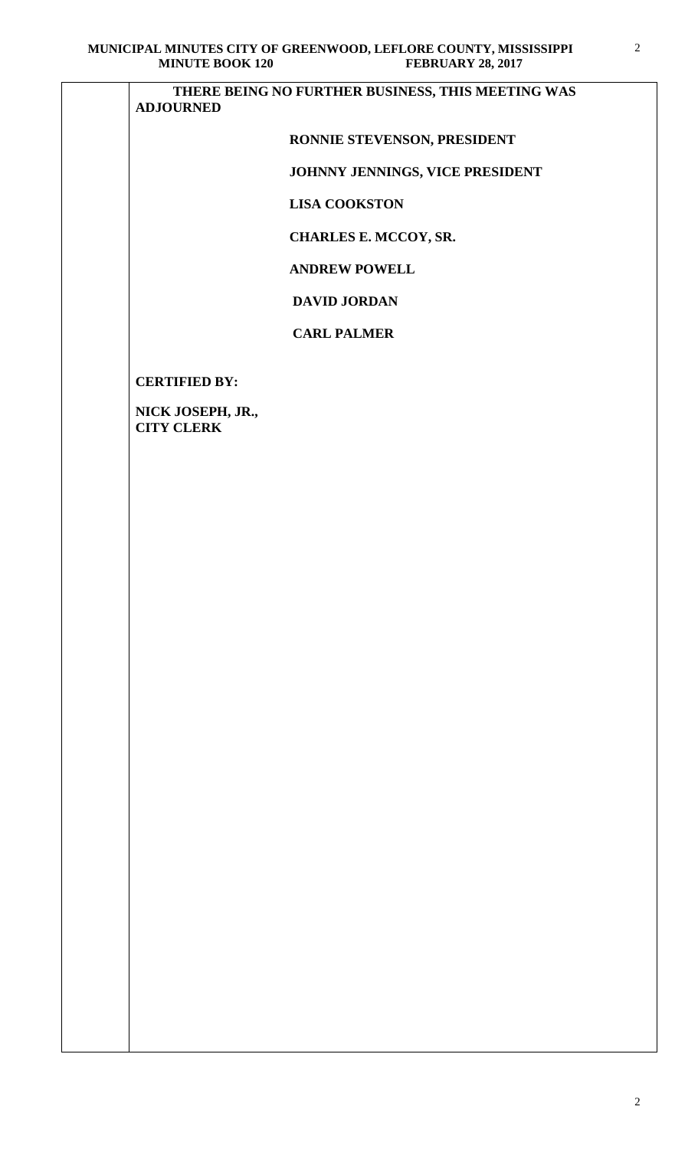# **THERE BEING NO FURTHER BUSINESS, THIS MEETING WAS ADJOURNED**

# **RONNIE STEVENSON, PRESIDENT**

# **JOHNNY JENNINGS, VICE PRESIDENT**

 **LISA COOKSTON**

 **CHARLES E. MCCOY, SR.** 

 **ANDREW POWELL**

# **DAVID JORDAN**

## **CARL PALMER**

**CERTIFIED BY:**

**NICK JOSEPH, JR., CITY CLERK**